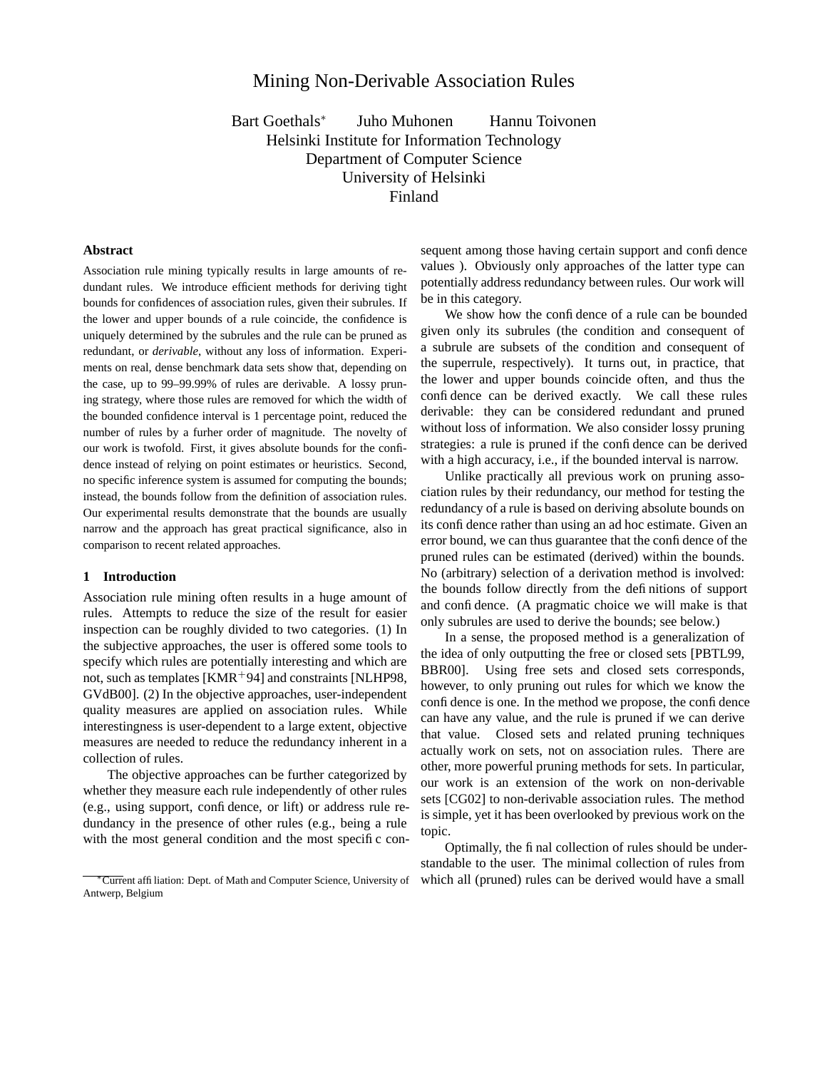# Mining Non-Derivable Association Rules

Bart Goethals<sup>∗</sup> Juho Muhonen Hannu Toivonen Helsinki Institute for Information Technology Department of Computer Science University of Helsinki Finland

# **Abstract**

Association rule mining typically results in large amounts of redundant rules. We introduce efficient methods for deriving tight bounds for confidences of association rules, given their subrules. If the lower and upper bounds of a rule coincide, the confidence is uniquely determined by the subrules and the rule can be pruned as redundant, or *derivable*, without any loss of information. Experiments on real, dense benchmark data sets show that, depending on the case, up to 99–99.99% of rules are derivable. A lossy pruning strategy, where those rules are removed for which the width of the bounded confidence interval is 1 percentage point, reduced the number of rules by a furher order of magnitude. The novelty of our work is twofold. First, it gives absolute bounds for the confidence instead of relying on point estimates or heuristics. Second, no specific inference system is assumed for computing the bounds; instead, the bounds follow from the definition of association rules. Our experimental results demonstrate that the bounds are usually narrow and the approach has great practical significance, also in comparison to recent related approaches.

## **1 Introduction**

Association rule mining often results in a huge amount of rules. Attempts to reduce the size of the result for easier inspection can be roughly divided to two categories. (1) In the subjective approaches, the user is offered some tools to specify which rules are potentially interesting and which are not, such as templates  $[KMR+94]$  and constraints [NLHP98, GVdB00]. (2) In the objective approaches, user-independent quality measures are applied on association rules. While interestingness is user-dependent to a large extent, objective measures are needed to reduce the redundancy inherent in a collection of rules.

The objective approaches can be further categorized by whether they measure each rule independently of other rules (e.g., using support, confidence, or lift) or address rule redundancy in the presence of other rules (e.g., being a rule with the most general condition and the most specific con-

sequent among those having certain support and confidence values ). Obviously only approaches of the latter type can potentially address redundancy between rules. Our work will be in this category.

We show how the confidence of a rule can be bounded given only its subrules (the condition and consequent of a subrule are subsets of the condition and consequent of the superrule, respectively). It turns out, in practice, that the lower and upper bounds coincide often, and thus the confidence can be derived exactly. We call these rules derivable: they can be considered redundant and pruned without loss of information. We also consider lossy pruning strategies: a rule is pruned if the confidence can be derived with a high accuracy, i.e., if the bounded interval is narrow.

Unlike practically all previous work on pruning association rules by their redundancy, our method for testing the redundancy of a rule is based on deriving absolute bounds on its confidence rather than using an ad hoc estimate. Given an error bound, we can thus guarantee that the confidence of the pruned rules can be estimated (derived) within the bounds. No (arbitrary) selection of a derivation method is involved: the bounds follow directly from the definitions of support and confidence. (A pragmatic choice we will make is that only subrules are used to derive the bounds; see below.)

In a sense, the proposed method is a generalization of the idea of only outputting the free or closed sets [PBTL99, BBR00]. Using free sets and closed sets corresponds, however, to only pruning out rules for which we know the confidence is one. In the method we propose, the confidence can have any value, and the rule is pruned if we can derive that value. Closed sets and related pruning techniques actually work on sets, not on association rules. There are other, more powerful pruning methods for sets. In particular, our work is an extension of the work on non-derivable sets [CG02] to non-derivable association rules. The method is simple, yet it has been overlooked by previous work on the topic.

Optimally, the final collection of rules should be understandable to the user. The minimal collection of rules from which all (pruned) rules can be derived would have a small

<sup>∗</sup>Current affiliation: Dept. of Math and Computer Science, University of Antwerp, Belgium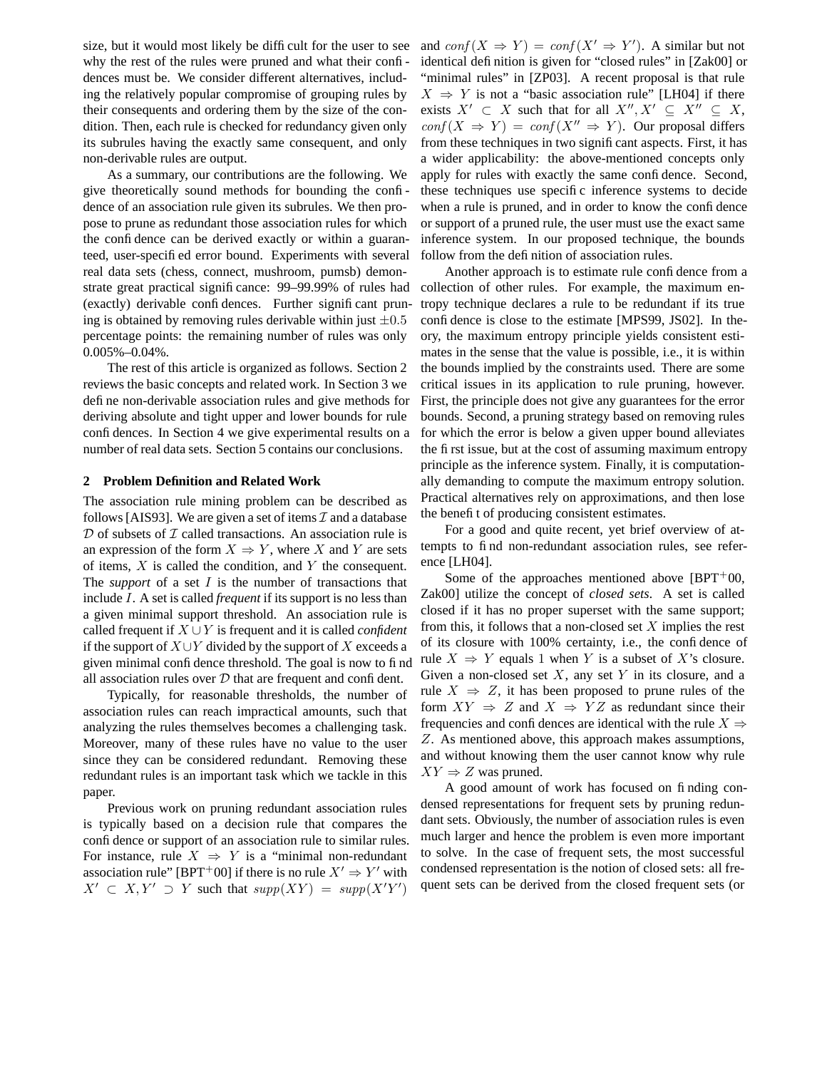size, but it would most likely be difficult for the user to see why the rest of the rules were pruned and what their confidences must be. We consider different alternatives, including the relatively popular compromise of grouping rules by their consequents and ordering them by the size of the condition. Then, each rule is checked for redundancy given only its subrules having the exactly same consequent, and only non-derivable rules are output.

As a summary, our contributions are the following. We give theoretically sound methods for bounding the confidence of an association rule given its subrules. We then propose to prune as redundant those association rules for which the confidence can be derived exactly or within a guaranteed, user-specified error bound. Experiments with several real data sets (chess, connect, mushroom, pumsb) demonstrate great practical significance: 99–99.99% of rules had (exactly) derivable confidences. Further significant pruning is obtained by removing rules derivable within just  $\pm 0.5$ percentage points: the remaining number of rules was only 0.005%–0.04%.

The rest of this article is organized as follows. Section 2 reviews the basic concepts and related work. In Section 3 we define non-derivable association rules and give methods for deriving absolute and tight upper and lower bounds for rule confidences. In Section 4 we give experimental results on a number of real data sets. Section 5 contains our conclusions.

#### **2 Problem Definition and Related Work**

The association rule mining problem can be described as follows [AIS93]. We are given a set of items  $\mathcal I$  and a database  $D$  of subsets of  $I$  called transactions. An association rule is an expression of the form  $X \Rightarrow Y$ , where X and Y are sets of items,  $X$  is called the condition, and  $Y$  the consequent. The *support* of a set I is the number of transactions that include I. A set is called *frequent* if its support is no less than a given minimal support threshold. An association rule is called frequent if X ∪Y is frequent and it is called *confident* if the support of  $X \cup Y$  divided by the support of X exceeds a given minimal confidence threshold. The goal is now to find all association rules over  $D$  that are frequent and confident.

Typically, for reasonable thresholds, the number of association rules can reach impractical amounts, such that analyzing the rules themselves becomes a challenging task. Moreover, many of these rules have no value to the user since they can be considered redundant. Removing these redundant rules is an important task which we tackle in this paper.

Previous work on pruning redundant association rules is typically based on a decision rule that compares the confidence or support of an association rule to similar rules. For instance, rule  $X \Rightarrow Y$  is a "minimal non-redundant association rule" [BPT<sup>+</sup>00] if there is no rule  $X' \Rightarrow Y'$  with  $X' \subset X, Y' \supset Y$  such that  $supp(XY) = supp(X'Y')$ 

and  $conf(X \Rightarrow Y) = conf(X' \Rightarrow Y')$ . A similar but not identical definition is given for "closed rules" in [Zak00] or "minimal rules" in [ZP03]. A recent proposal is that rule  $X \Rightarrow Y$  is not a "basic association rule" [LH04] if there exists  $X' \subset X$  such that for all  $X'', X' \subseteq X'' \subseteq X$ ,  $conf(X \Rightarrow Y) = conf(X'' \Rightarrow Y)$ . Our proposal differs from these techniques in two significant aspects. First, it has a wider applicability: the above-mentioned concepts only apply for rules with exactly the same confidence. Second, these techniques use specific inference systems to decide when a rule is pruned, and in order to know the confidence or support of a pruned rule, the user must use the exact same inference system. In our proposed technique, the bounds follow from the definition of association rules.

Another approach is to estimate rule confidence from a collection of other rules. For example, the maximum entropy technique declares a rule to be redundant if its true confidence is close to the estimate [MPS99, JS02]. In theory, the maximum entropy principle yields consistent estimates in the sense that the value is possible, i.e., it is within the bounds implied by the constraints used. There are some critical issues in its application to rule pruning, however. First, the principle does not give any guarantees for the error bounds. Second, a pruning strategy based on removing rules for which the error is below a given upper bound alleviates the first issue, but at the cost of assuming maximum entropy principle as the inference system. Finally, it is computationally demanding to compute the maximum entropy solution. Practical alternatives rely on approximations, and then lose the benefit of producing consistent estimates.

For a good and quite recent, yet brief overview of attempts to find non-redundant association rules, see reference [LH04].

Some of the approaches mentioned above  $[BPT<sup>+</sup>00$ , Zak00] utilize the concept of *closed sets*. A set is called closed if it has no proper superset with the same support; from this, it follows that a non-closed set  $X$  implies the rest of its closure with 100% certainty, i.e., the confidence of rule  $X \Rightarrow Y$  equals 1 when Y is a subset of X's closure. Given a non-closed set  $X$ , any set  $Y$  in its closure, and a rule  $X \Rightarrow Z$ , it has been proposed to prune rules of the form  $XY \Rightarrow Z$  and  $X \Rightarrow YZ$  as redundant since their frequencies and confidences are identical with the rule  $X \Rightarrow$ Z. As mentioned above, this approach makes assumptions, and without knowing them the user cannot know why rule  $XY \Rightarrow Z$  was pruned.

A good amount of work has focused on finding condensed representations for frequent sets by pruning redundant sets. Obviously, the number of association rules is even much larger and hence the problem is even more important to solve. In the case of frequent sets, the most successful condensed representation is the notion of closed sets: all frequent sets can be derived from the closed frequent sets (or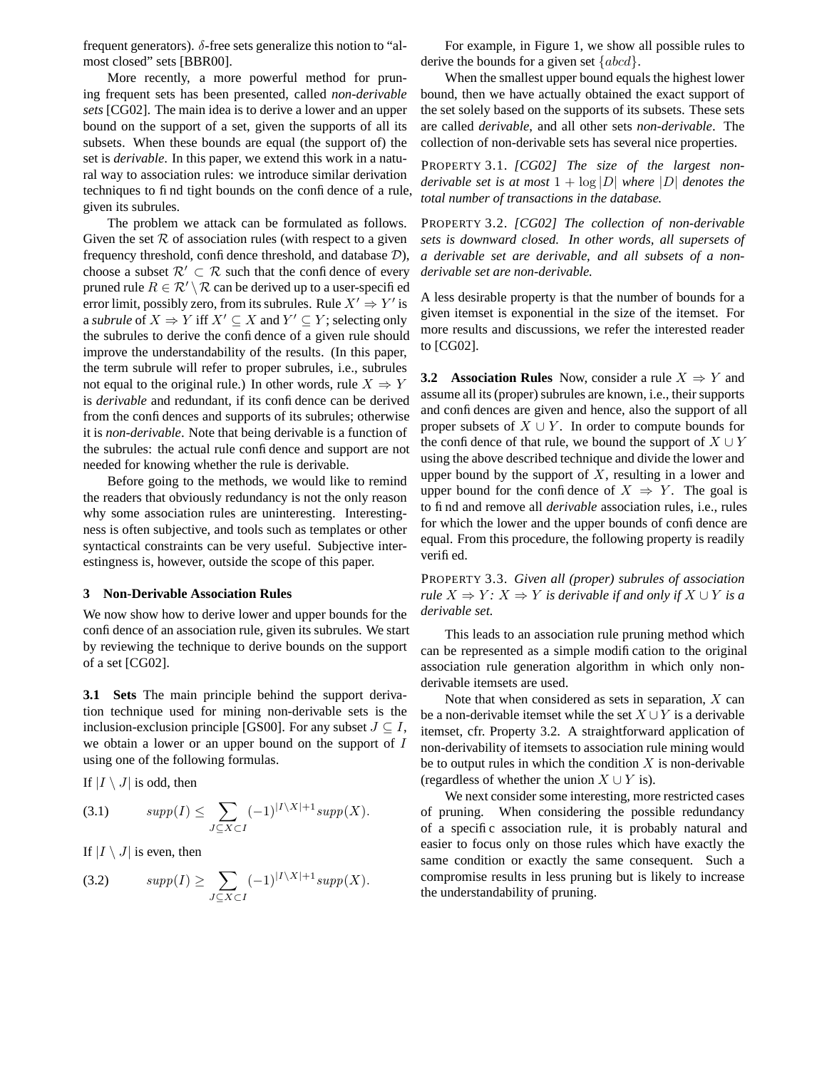frequent generators).  $\delta$ -free sets generalize this notion to "almost closed" sets [BBR00].

More recently, a more powerful method for pruning frequent sets has been presented, called *non-derivable sets* [CG02]. The main idea is to derive a lower and an upper bound on the support of a set, given the supports of all its subsets. When these bounds are equal (the support of) the set is *derivable*. In this paper, we extend this work in a natural way to association rules: we introduce similar derivation techniques to find tight bounds on the confidence of a rule, given its subrules.

The problem we attack can be formulated as follows. Given the set  $R$  of association rules (with respect to a given frequency threshold, confidence threshold, and database  $\mathcal{D}$ ), choose a subset  $\mathcal{R}' \subset \mathcal{R}$  such that the confidence of every pruned rule  $R \in \mathcal{R}' \setminus \mathcal{R}$  can be derived up to a user-specified error limit, possibly zero, from its subrules. Rule  $X' \Rightarrow Y'$  is a *subrule* of  $X \Rightarrow Y$  iff  $X' \subseteq X$  and  $Y' \subseteq Y$ ; selecting only the subrules to derive the confidence of a given rule should improve the understandability of the results. (In this paper, the term subrule will refer to proper subrules, i.e., subrules not equal to the original rule.) In other words, rule  $X \Rightarrow Y$ is *derivable* and redundant, if its confidence can be derived from the confidences and supports of its subrules; otherwise it is *non-derivable*. Note that being derivable is a function of the subrules: the actual rule confidence and support are not needed for knowing whether the rule is derivable.

Before going to the methods, we would like to remind the readers that obviously redundancy is not the only reason why some association rules are uninteresting. Interestingness is often subjective, and tools such as templates or other syntactical constraints can be very useful. Subjective interestingness is, however, outside the scope of this paper.

#### **3 Non-Derivable Association Rules**

We now show how to derive lower and upper bounds for the confidence of an association rule, given its subrules. We start by reviewing the technique to derive bounds on the support of a set [CG02].

**3.1 Sets** The main principle behind the support derivation technique used for mining non-derivable sets is the inclusion-exclusion principle [GS00]. For any subset  $J \subseteq I$ , we obtain a lower or an upper bound on the support of I using one of the following formulas.

If  $|I \setminus J|$  is odd, then

$$
(3.1) \qquad supp(I) \le \sum_{J \subseteq X \subset I} (-1)^{|I \setminus X|+1} supp(X).
$$

If  $|I \setminus J|$  is even, then

$$
(3.2) \qquad supp(I) \ge \sum_{J \subseteq X \subset I} (-1)^{|I \setminus X|+1} supp(X).
$$

For example, in Figure 1, we show all possible rules to derive the bounds for a given set  ${abcd}$ .

When the smallest upper bound equals the highest lower bound, then we have actually obtained the exact support of the set solely based on the supports of its subsets. These sets are called *derivable*, and all other sets *non-derivable*. The collection of non-derivable sets has several nice properties.

PROPERTY 3.1. *[CG02] The size of the largest nonderivable set is at most*  $1 + \log |D|$  *where*  $|D|$  *denotes the total number of transactions in the database.*

PROPERTY 3.2. *[CG02] The collection of non-derivable sets is downward closed. In other words, all supersets of a derivable set are derivable, and all subsets of a nonderivable set are non-derivable.*

A less desirable property is that the number of bounds for a given itemset is exponential in the size of the itemset. For more results and discussions, we refer the interested reader to [CG02].

**3.2 Association Rules** Now, consider a rule  $X \Rightarrow Y$  and assume all its (proper) subrules are known, i.e., their supports and confidences are given and hence, also the support of all proper subsets of  $X \cup Y$ . In order to compute bounds for the confidence of that rule, we bound the support of  $X \cup Y$ using the above described technique and divide the lower and upper bound by the support of  $X$ , resulting in a lower and upper bound for the confidence of  $X \Rightarrow Y$ . The goal is to find and remove all *derivable* association rules, i.e., rules for which the lower and the upper bounds of confidence are equal. From this procedure, the following property is readily verified.

PROPERTY 3.3. *Given all (proper) subrules of association rule*  $X \Rightarrow Y: X \Rightarrow Y$  *is derivable if and only if*  $X \cup Y$  *is a derivable set.*

This leads to an association rule pruning method which can be represented as a simple modification to the original association rule generation algorithm in which only nonderivable itemsets are used.

Note that when considered as sets in separation,  $X$  can be a non-derivable itemset while the set  $X \cup Y$  is a derivable itemset, cfr. Property 3.2. A straightforward application of non-derivability of itemsets to association rule mining would be to output rules in which the condition  $X$  is non-derivable (regardless of whether the union  $X \cup Y$  is).

We next consider some interesting, more restricted cases of pruning. When considering the possible redundancy of a specific association rule, it is probably natural and easier to focus only on those rules which have exactly the same condition or exactly the same consequent. Such a compromise results in less pruning but is likely to increase the understandability of pruning.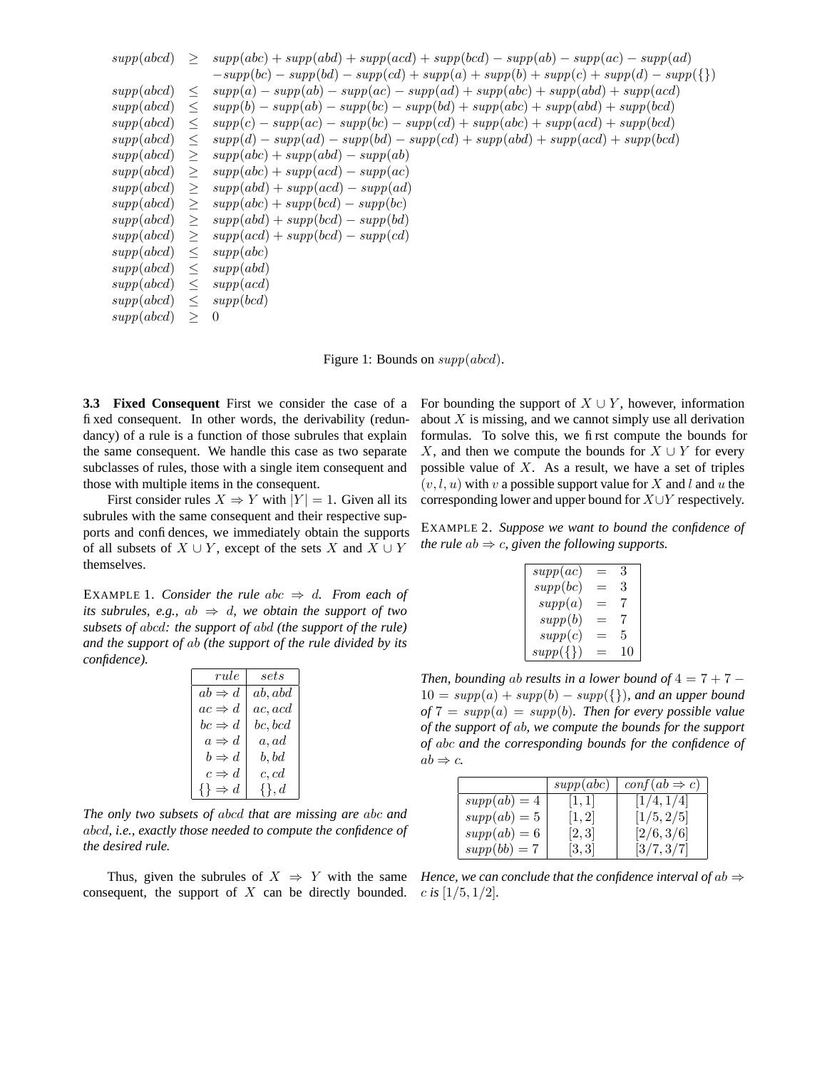| supp(abcd) | >       | $supp(abc) + supp(abd) + supp(acd) + supp(bcd) - supp(ab) - supp(ac) - supp(ad)$       |
|------------|---------|----------------------------------------------------------------------------------------|
|            |         | $-supp(bc) - supp(bd) - supp(cd) + supp(a) + supp(b) + supp(c) + supp(d) - supp(\{\})$ |
| supp(abcd) | $\,<$   | $supp(a) - supp(ab) - supp(ac) - supp(ad) + supp(abc) + supp(abd) + supp(acd)$         |
| supp(abcd) | $\,<\,$ | $supp(b) - supp(ab) - supp(bc) - supp(bd) + supp(abc) + supp(abd) + supp(bcd)$         |
| supp(abcd) | $\,<\,$ | $supp(c) - supp(ac) - supp(bc) - supp(cd) + supp(abc) + supp(acd) + supp(bcd)$         |
| supp(abcd) | $\,<$   | $supp(d) - supp(ad) - supp(bd) - supp(cd) + supp(abd) + supp(acd) + supp(bcd)$         |
| supp(abcd) | >       | $supp(abc) + supp(abd) - supp(ab)$                                                     |
| supp(abcd) | >       | $supp(abc) + supp(acd) - supp(ac)$                                                     |
| supp(abcd) | >       | $supp(abd) + supp(acd) - supp(ad)$                                                     |
| supp(abcd) | >       | $supp(abc) + supp(bcd) - supp(bc)$                                                     |
| supp(abcd) | >       | $supp(abd) + supp(bcd) - supp(bd)$                                                     |
| supp(abcd) | >       | $supp(acd) + supp(bcd) - supp(cd)$                                                     |
| supp(abcd) | $\,<\,$ | supp(abc)                                                                              |
| supp(abcd) | $\,<\,$ | supp(abd)                                                                              |
| supp(abcd) | $\,<\,$ | supp(acd)                                                                              |
| supp(abcd) | $\,<\,$ | supp(bcd)                                                                              |
| supp(abcd) | >       | -0                                                                                     |
|            |         |                                                                                        |

Figure 1: Bounds on  $supp(abcd)$ .

**3.3 Fixed Consequent** First we consider the case of a fixed consequent. In other words, the derivability (redundancy) of a rule is a function of those subrules that explain the same consequent. We handle this case as two separate subclasses of rules, those with a single item consequent and those with multiple items in the consequent.

First consider rules  $X \Rightarrow Y$  with  $|Y| = 1$ . Given all its subrules with the same consequent and their respective supports and confidences, we immediately obtain the supports of all subsets of  $X \cup Y$ , except of the sets X and  $X \cup Y$ themselves.

EXAMPLE 1. *Consider the rule abc*  $\Rightarrow$  *d. From each of its subrules, e.g.,*  $ab \Rightarrow d$ *, we obtain the support of two subsets of* abcd*: the support of* abd *(the support of the rule) and the support of* ab *(the support of the rule divided by its confidence).*

| rule                | sets         |
|---------------------|--------------|
| $ab \Rightarrow d$  | ab,abd       |
| $ac \Rightarrow d$  | ac,acd       |
| $bc \Rightarrow d$  | bc, bcd      |
| $a \Rightarrow d$   | a, ad        |
| $b \Rightarrow d$   | b, bd        |
| $c \Rightarrow d$   | c, cd        |
| $\{\}\Rightarrow d$ | $\{\}$ , $d$ |

*The only two subsets of* abcd *that are missing are* abc *and* abcd*, i.e., exactly those needed to compute the confidence of the desired rule.*

consequent, the support of X can be directly bounded.

For bounding the support of  $X \cup Y$ , however, information about  $X$  is missing, and we cannot simply use all derivation formulas. To solve this, we first compute the bounds for X, and then we compute the bounds for  $X \cup Y$  for every possible value of  $X$ . As a result, we have a set of triples  $(v, l, u)$  with v a possible support value for X and l and u the corresponding lower and upper bound for X∪Y respectively.

EXAMPLE 2. *Suppose we want to bound the confidence of the rule*  $ab \Rightarrow c$ , *given the following supports.* 

| supp(ac)     | 3  |
|--------------|----|
| supp(bc)     | 3  |
| supp(a)      |    |
| supp(b)      |    |
| supp(c)      | 5  |
| $supp(\{\})$ | 10 |

*Then, bounding ab results in a lower bound of*  $4 = 7 + 7 - 7$  $10 = supp(a) + supp(b) - supp({},$ ), and an upper bound  $of 7 = supp(a) = supp(b)$ *. Then for every possible value of the support of* ab*, we compute the bounds for the support of* abc *and the corresponding bounds for the confidence of*  $ab \Rightarrow c$ .

|                | supp(abc) | $\text{conf}(ab \Rightarrow c)$ |
|----------------|-----------|---------------------------------|
| $supp(ab) = 4$ |           | /4, 1/4                         |
| $supp(ab) = 5$ |           | [1/5, 2/5]                      |
| $supp(ab) = 6$ | [2,3]     | [2/6, 3/6]                      |
| $supp(bb) = 7$ |           | [3/7, 3/7]                      |

Thus, given the subrules of  $X \Rightarrow Y$  with the same *Hence, we can conclude that the confidence interval of ab*  $\Rightarrow$ c *is* [1/5, 1/2]*.*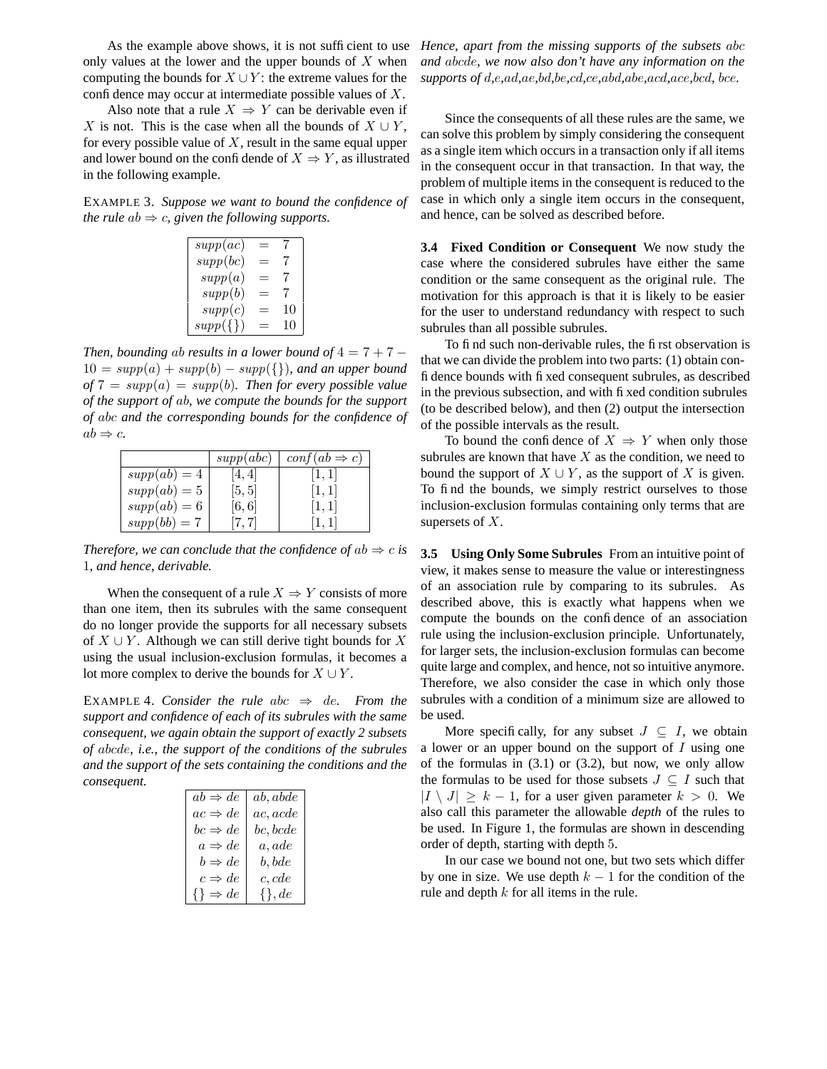As the example above shows, it is not sufficient to use only values at the lower and the upper bounds of  $X$  when computing the bounds for  $X \cup Y$ : the extreme values for the confidence may occur at intermediate possible values of  $X$ .

Also note that a rule  $X \Rightarrow Y$  can be derivable even if X is not. This is the case when all the bounds of  $X \cup Y$ , for every possible value of  $X$ , result in the same equal upper and lower bound on the confidende of  $X \Rightarrow Y$ , as illustrated in the following example.

EXAMPLE 3. *Suppose we want to bound the confidence of the rule*  $ab \Rightarrow c$ , *given the following supports.* 

| supp(ac)      |    |
|---------------|----|
| supp(bc)      | 7  |
| supp(a)       | 7  |
| supp(b)       | 7  |
| supp(c)       | 10 |
| $supp({\{\})$ | 10 |

*Then, bounding ab results in a lower bound of*  $4 = 7 + 7 - 7$  $10 = supp(a) + supp(b) - supp(\{\})$ , and an upper bound  $of 7 = supp(a) = supp(b)$ *. Then for every possible value of the support of* ab*, we compute the bounds for the support of* abc *and the corresponding bounds for the confidence of*  $ab \Rightarrow c$ .

|                | supp(abc) | $\text{conf}(ab \Rightarrow c)$ |
|----------------|-----------|---------------------------------|
| $supp(ab) = 4$ | 4.4       |                                 |
| $supp(ab) = 5$ | [5, 5]    |                                 |
| $supp(ab) = 6$ | [6, 6]    |                                 |
| $supp(bb) = 7$ | [7, 7]    |                                 |

*Therefore, we can conclude that the confidence of*  $ab \Rightarrow c$  *is* 1*, and hence, derivable.*

When the consequent of a rule  $X \Rightarrow Y$  consists of more than one item, then its subrules with the same consequent do no longer provide the supports for all necessary subsets of  $X \cup Y$ . Although we can still derive tight bounds for X using the usual inclusion-exclusion formulas, it becomes a lot more complex to derive the bounds for  $X \cup Y$ .

EXAMPLE 4. *Consider the rule*  $abc \Rightarrow de$ *. From the support and confidence of each of its subrules with the same consequent, we again obtain the support of exactly 2 subsets of* abcde*, i.e., the support of the conditions of the subrules and the support of the sets containing the conditions and the consequent.*

| $ab \Rightarrow de$  | ab, abde    |
|----------------------|-------------|
| $ac \Rightarrow de$  | ac, acde    |
| $bc \Rightarrow de$  | bc, bcde    |
| $a \Rightarrow de$   | a, ade      |
| $b \Rightarrow de$   | b, bde      |
| $c \Rightarrow de$   | c, cde      |
| $\{\}\Rightarrow de$ | $\{\}$ , de |

*Hence, apart from the missing supports of the subsets* abc *and* abcde*, we now also don't have any information on the supports of* d*,*e*,*ad*,*ae*,*bd*,*be*,*cd*,*ce*,*abd*,*abe*,*acd*,*ace*,*bcd*,* bce*.*

Since the consequents of all these rules are the same, we can solve this problem by simply considering the consequent as a single item which occurs in a transaction only if all items in the consequent occur in that transaction. In that way, the problem of multiple items in the consequent is reduced to the case in which only a single item occurs in the consequent, and hence, can be solved as described before.

**3.4 Fixed Condition or Consequent** We now study the case where the considered subrules have either the same condition or the same consequent as the original rule. The motivation for this approach is that it is likely to be easier for the user to understand redundancy with respect to such subrules than all possible subrules.

To find such non-derivable rules, the first observation is that we can divide the problem into two parts: (1) obtain confidence bounds with fixed consequent subrules, as described in the previous subsection, and with fixed condition subrules (to be described below), and then (2) output the intersection of the possible intervals as the result.

To bound the confidence of  $X \Rightarrow Y$  when only those subrules are known that have  $X$  as the condition, we need to bound the support of  $X \cup Y$ , as the support of X is given. To find the bounds, we simply restrict ourselves to those inclusion-exclusion formulas containing only terms that are supersets of  $X$ .

**3.5 Using Only Some Subrules** From an intuitive point of view, it makes sense to measure the value or interestingness of an association rule by comparing to its subrules. As described above, this is exactly what happens when we compute the bounds on the confidence of an association rule using the inclusion-exclusion principle. Unfortunately, for larger sets, the inclusion-exclusion formulas can become quite large and complex, and hence, not so intuitive anymore. Therefore, we also consider the case in which only those subrules with a condition of a minimum size are allowed to be used.

More specifically, for any subset  $J \subseteq I$ , we obtain a lower or an upper bound on the support of  $I$  using one of the formulas in  $(3.1)$  or  $(3.2)$ , but now, we only allow the formulas to be used for those subsets  $J \subseteq I$  such that  $|I \setminus J| \geq k - 1$ , for a user given parameter  $k > 0$ . We also call this parameter the allowable *depth* of the rules to be used. In Figure 1, the formulas are shown in descending order of depth, starting with depth 5.

In our case we bound not one, but two sets which differ by one in size. We use depth  $k - 1$  for the condition of the rule and depth k for all items in the rule.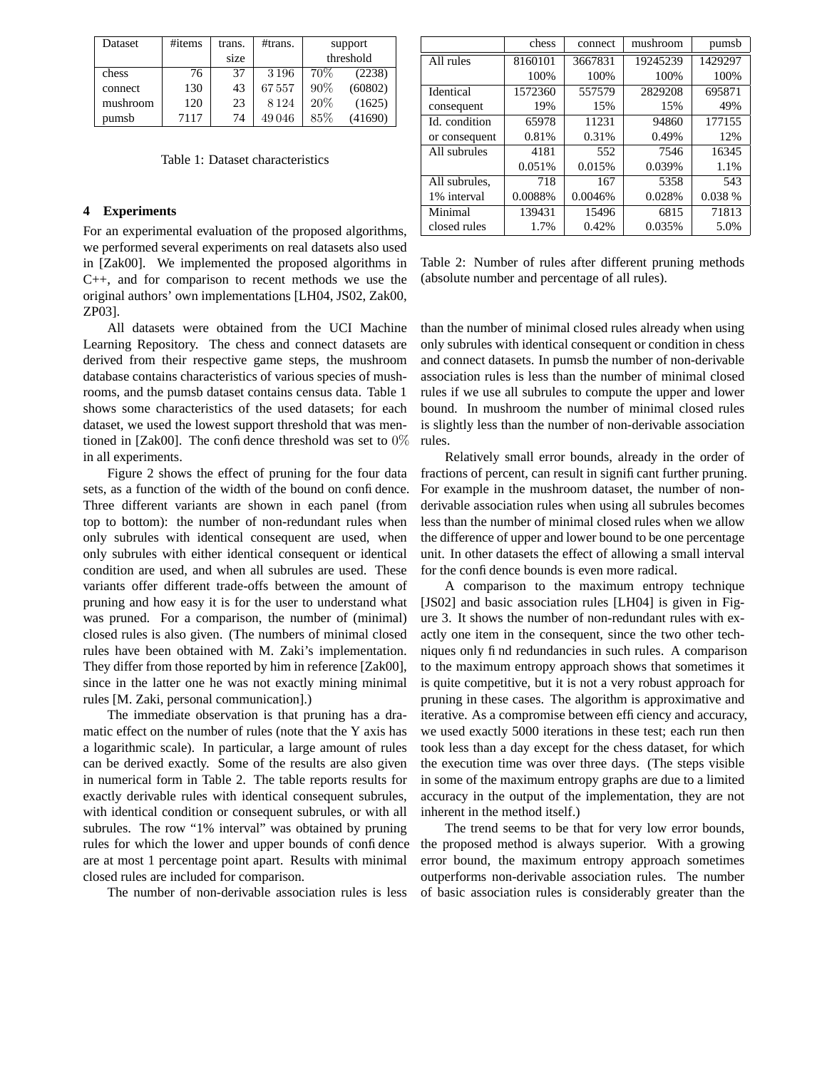| Dataset  | #items | trans. | #trans. |     | support   |
|----------|--------|--------|---------|-----|-----------|
|          |        | size   |         |     | threshold |
| chess    | 76     | 37     | 3196    | 70% | (2238)    |
| connect  | 130    | 43     | 67557   | 90% | (60802)   |
| mushroom | 120    | 23     | 8124    | 20% | (1625)    |
| pumsb    | 7117   | 74     | 49046   | 85% | (41690)   |

Table 1: Dataset characteristics

# **4 Experiments**

For an experimental evaluation of the proposed algorithms, we performed several experiments on real datasets also used in [Zak00]. We implemented the proposed algorithms in C++, and for comparison to recent methods we use the original authors' own implementations [LH04, JS02, Zak00, ZP03].

All datasets were obtained from the UCI Machine Learning Repository. The chess and connect datasets are derived from their respective game steps, the mushroom database contains characteristics of various species of mushrooms, and the pumsb dataset contains census data. Table 1 shows some characteristics of the used datasets; for each dataset, we used the lowest support threshold that was mentioned in [Zak00]. The confidence threshold was set to  $0\%$ in all experiments.

Figure 2 shows the effect of pruning for the four data sets, as a function of the width of the bound on confidence. Three different variants are shown in each panel (from top to bottom): the number of non-redundant rules when only subrules with identical consequent are used, when only subrules with either identical consequent or identical condition are used, and when all subrules are used. These variants offer different trade-offs between the amount of pruning and how easy it is for the user to understand what was pruned. For a comparison, the number of (minimal) closed rules is also given. (The numbers of minimal closed rules have been obtained with M. Zaki's implementation. They differ from those reported by him in reference [Zak00], since in the latter one he was not exactly mining minimal rules [M. Zaki, personal communication].)

The immediate observation is that pruning has a dramatic effect on the number of rules (note that the Y axis has a logarithmic scale). In particular, a large amount of rules can be derived exactly. Some of the results are also given in numerical form in Table 2. The table reports results for exactly derivable rules with identical consequent subrules, with identical condition or consequent subrules, or with all subrules. The row "1% interval" was obtained by pruning rules for which the lower and upper bounds of confidence are at most 1 percentage point apart. Results with minimal closed rules are included for comparison.

The number of non-derivable association rules is less

|               | chess   | connect | mushroom | pumsb   |
|---------------|---------|---------|----------|---------|
| All rules     | 8160101 | 3667831 | 19245239 | 1429297 |
|               | 100%    | 100%    | 100%     | 100%    |
| Identical     | 1572360 | 557579  | 2829208  | 695871  |
| consequent    | 19%     | 15%     | 15%      | 49%     |
| Id. condition | 65978   | 11231   | 94860    | 177155  |
| or consequent | 0.81%   | 0.31%   | 0.49%    | 12%     |
| All subrules  | 4181    | 552     | 7546     | 16345   |
|               | 0.051%  | 0.015%  | 0.039%   | 1.1%    |
| All subrules, | 718     | 167     | 5358     | 543     |
| 1% interval   | 0.0088% | 0.0046% | 0.028%   | 0.038 % |
| Minimal       | 139431  | 15496   | 6815     | 71813   |
| closed rules  | 1.7%    | 0.42%   | 0.035%   | 5.0%    |

Table 2: Number of rules after different pruning methods (absolute number and percentage of all rules).

than the number of minimal closed rules already when using only subrules with identical consequent or condition in chess and connect datasets. In pumsb the number of non-derivable association rules is less than the number of minimal closed rules if we use all subrules to compute the upper and lower bound. In mushroom the number of minimal closed rules is slightly less than the number of non-derivable association rules.

Relatively small error bounds, already in the order of fractions of percent, can result in significant further pruning. For example in the mushroom dataset, the number of nonderivable association rules when using all subrules becomes less than the number of minimal closed rules when we allow the difference of upper and lower bound to be one percentage unit. In other datasets the effect of allowing a small interval for the confidence bounds is even more radical.

A comparison to the maximum entropy technique [JS02] and basic association rules [LH04] is given in Figure 3. It shows the number of non-redundant rules with exactly one item in the consequent, since the two other techniques only find redundancies in such rules. A comparison to the maximum entropy approach shows that sometimes it is quite competitive, but it is not a very robust approach for pruning in these cases. The algorithm is approximative and iterative. As a compromise between efficiency and accuracy, we used exactly 5000 iterations in these test; each run then took less than a day except for the chess dataset, for which the execution time was over three days. (The steps visible in some of the maximum entropy graphs are due to a limited accuracy in the output of the implementation, they are not inherent in the method itself.)

The trend seems to be that for very low error bounds, the proposed method is always superior. With a growing error bound, the maximum entropy approach sometimes outperforms non-derivable association rules. The number of basic association rules is considerably greater than the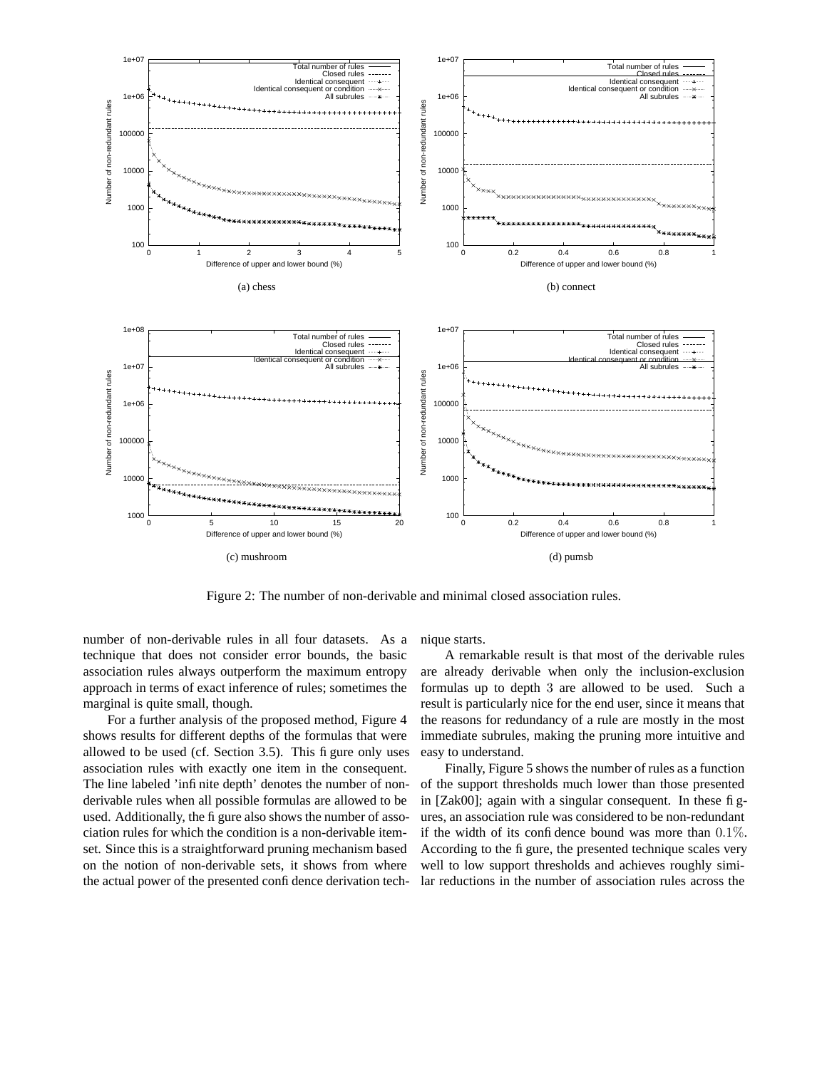

Figure 2: The number of non-derivable and minimal closed association rules.

number of non-derivable rules in all four datasets. As a technique that does not consider error bounds, the basic association rules always outperform the maximum entropy approach in terms of exact inference of rules; sometimes the marginal is quite small, though.

For a further analysis of the proposed method, Figure 4 shows results for different depths of the formulas that were allowed to be used (cf. Section 3.5). This figure only uses association rules with exactly one item in the consequent. The line labeled 'infinite depth' denotes the number of nonderivable rules when all possible formulas are allowed to be used. Additionally, the fi gure also shows the number of association rules for which the condition is a non-derivable itemset. Since this is a straightforward pruning mechanism based on the notion of non-derivable sets, it shows from where the actual power of the presented confidence derivation technique starts.

A remarkable result is that most of the derivable rules are already derivable when only the inclusion-exclusion formulas up to depth 3 are allowed to be used. Such a result is particularly nice for the end user, since it means that the reasons for redundancy of a rule are mostly in the most immediate subrules, making the pruning more intuitive and easy to understand.

Finally, Figure 5 shows the number of rules as a function of the support thresholds much lower than those presented in [Zak00]; again with a singular consequent. In these figures, an association rule was considered to be non-redundant if the width of its confidence bound was more than  $0.1\%$ . According to the figure, the presented technique scales very well to low support thresholds and achieves roughly similar reductions in the number of association rules across the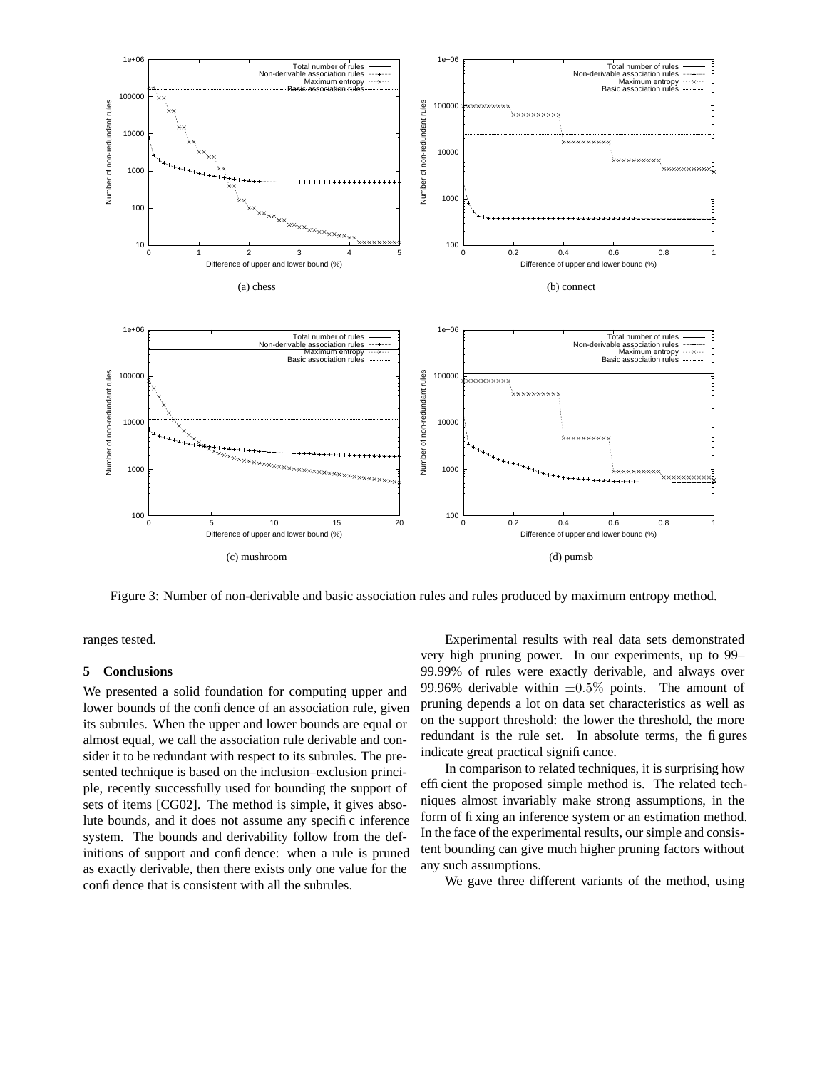

Figure 3: Number of non-derivable and basic association rules and rules produced by maximum entropy method.

ranges tested.

### **5 Conclusions**

We presented a solid foundation for computing upper and lower bounds of the confidence of an association rule, given its subrules. When the upper and lower bounds are equal or almost equal, we call the association rule derivable and consider it to be redundant with respect to its subrules. The presented technique is based on the inclusion–exclusion principle, recently successfully used for bounding the support of sets of items [CG02]. The method is simple, it gives absolute bounds, and it does not assume any specific inference system. The bounds and derivability follow from the definitions of support and confidence: when a rule is pruned as exactly derivable, then there exists only one value for the confidence that is consistent with all the subrules.

Experimental results with real data sets demonstrated very high pruning power. In our experiments, up to 99– 99.99% of rules were exactly derivable, and always over 99.96% derivable within  $\pm 0.5\%$  points. The amount of pruning depends a lot on data set characteristics as well as on the support threshold: the lower the threshold, the more redundant is the rule set. In absolute terms, the figures indicate great practical significance.

In comparison to related techniques, it is surprising how efficient the proposed simple method is. The related techniques almost invariably make strong assumptions, in the form of fixing an inference system or an estimation method. In the face of the experimental results, our simple and consistent bounding can give much higher pruning factors without any such assumptions.

We gave three different variants of the method, using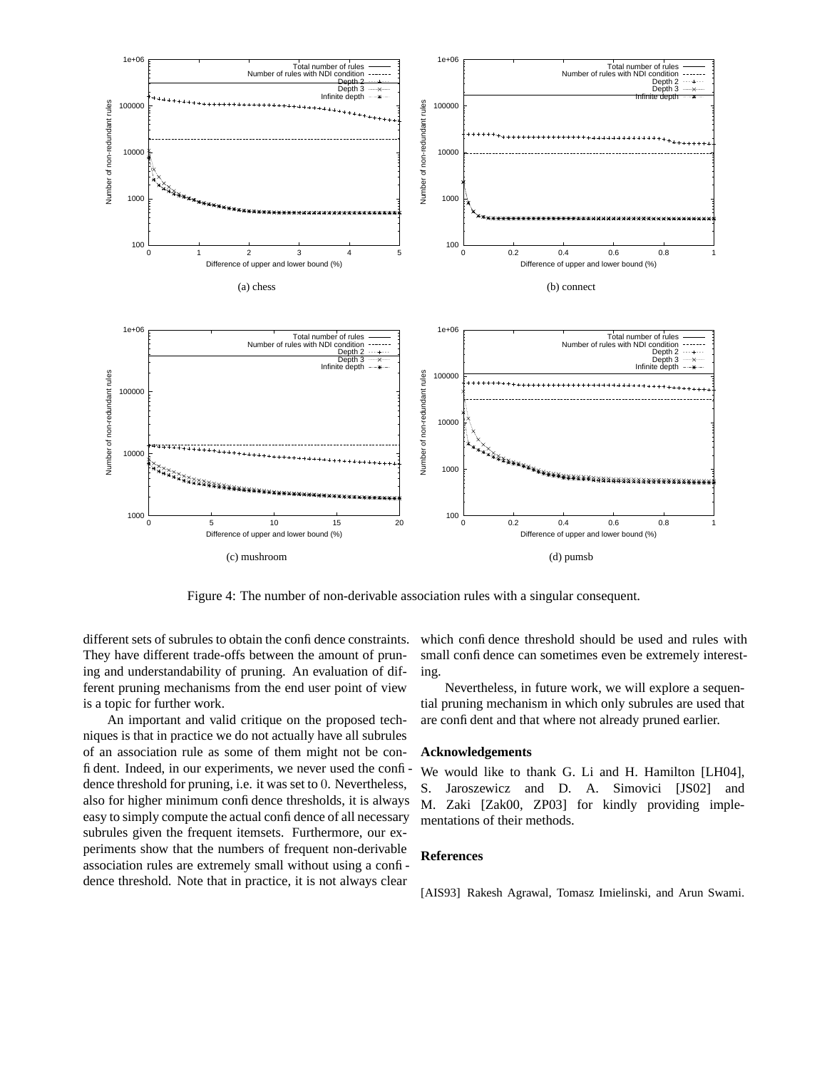

Figure 4: The number of non-derivable association rules with a singular consequent.

different sets of subrules to obtain the confidence constraints. They have different trade-offs between the amount of pruning and understandability of pruning. An evaluation of different pruning mechanisms from the end user point of view is a topic for further work.

An important and valid critique on the proposed techniques is that in practice we do not actually have all subrules of an association rule as some of them might not be confident. Indeed, in our experiments, we never used the confidence threshold for pruning, i.e. it was set to 0. Nevertheless, also for higher minimum confidence thresholds, it is always easy to simply compute the actual confidence of all necessary subrules given the frequent itemsets. Furthermore, our experiments show that the numbers of frequent non-derivable association rules are extremely small without using a confidence threshold. Note that in practice, it is not always clear

which confidence threshold should be used and rules with small confidence can sometimes even be extremely interesting.

Nevertheless, in future work, we will explore a sequential pruning mechanism in which only subrules are used that are confident and that where not already pruned earlier.

#### **Acknowledgements**

We would like to thank G. Li and H. Hamilton [LH04], S. Jaroszewicz and D. A. Simovici [JS02] and M. Zaki [Zak00, ZP03] for kindly providing implementations of their methods.

### **References**

[AIS93] Rakesh Agrawal, Tomasz Imielinski, and Arun Swami.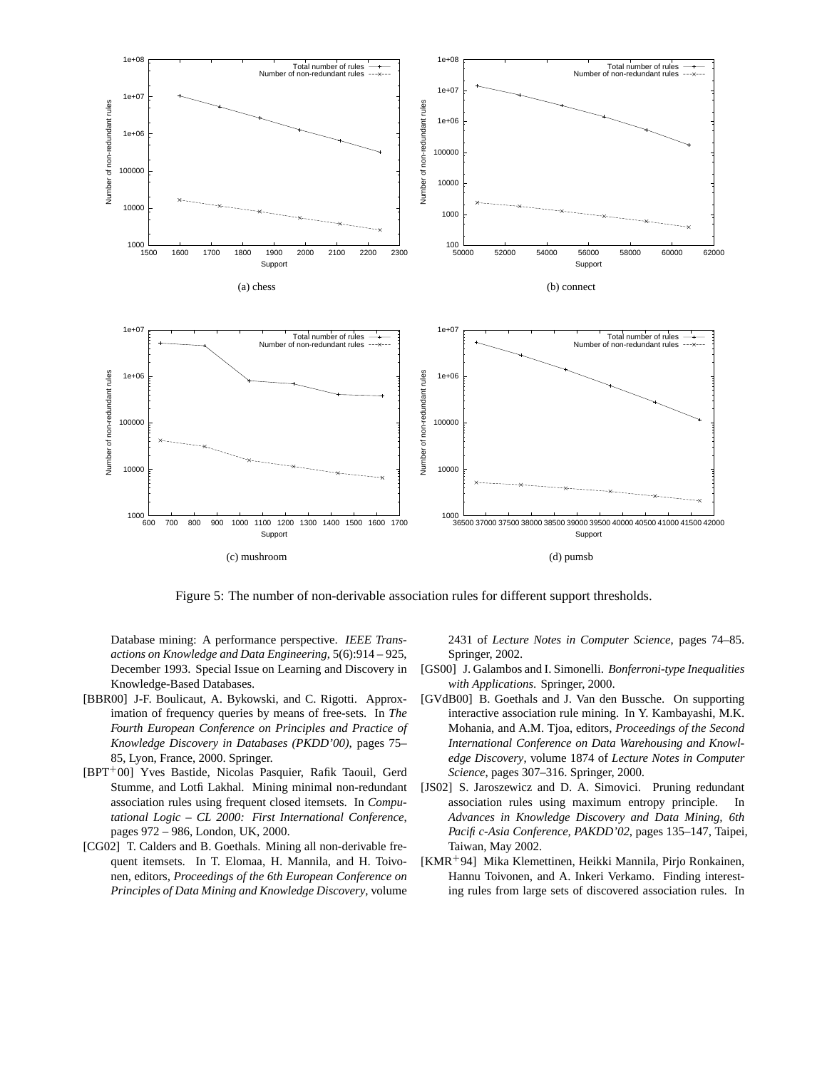

Figure 5: The number of non-derivable association rules for different support thresholds.

Database mining: A performance perspective. *IEEE Transactions on Knowledge and Data Engineering*, 5(6):914 – 925, December 1993. Special Issue on Learning and Discovery in Knowledge-Based Databases.

- [BBR00] J-F. Boulicaut, A. Bykowski, and C. Rigotti. Approximation of frequency queries by means of free-sets. In *The Fourth European Conference on Principles and Practice of Knowledge Discovery in Databases (PKDD'00)*, pages 75– 85, Lyon, France, 2000. Springer.
- [BPT<sup>+</sup>00] Yves Bastide, Nicolas Pasquier, Rafik Taouil, Gerd Stumme, and Lotfi Lakhal. Mining minimal non-redundant association rules using frequent closed itemsets. In *Computational Logic – CL 2000: First International Conference*, pages 972 – 986, London, UK, 2000.
- [CG02] T. Calders and B. Goethals. Mining all non-derivable frequent itemsets. In T. Elomaa, H. Mannila, and H. Toivonen, editors, *Proceedings of the 6th European Conference on Principles of Data Mining and Knowledge Discovery*, volume

2431 of *Lecture Notes in Computer Science*, pages 74–85. Springer, 2002.

- [GS00] J. Galambos and I. Simonelli. *Bonferroni-type Inequalities with Applications*. Springer, 2000.
- [GVdB00] B. Goethals and J. Van den Bussche. On supporting interactive association rule mining. In Y. Kambayashi, M.K. Mohania, and A.M. Tjoa, editors, *Proceedings of the Second International Conference on Data Warehousing and Knowledge Discovery*, volume 1874 of *Lecture Notes in Computer Science*, pages 307–316. Springer, 2000.
- [JS02] S. Jaroszewicz and D. A. Simovici. Pruning redundant association rules using maximum entropy principle. In *Advances in Knowledge Discovery and Data Mining, 6th Pacific-Asia Conference, PAKDD'02*, pages 135–147, Taipei, Taiwan, May 2002.
- [KMR<sup>+</sup>94] Mika Klemettinen, Heikki Mannila, Pirjo Ronkainen, Hannu Toivonen, and A. Inkeri Verkamo. Finding interesting rules from large sets of discovered association rules. In